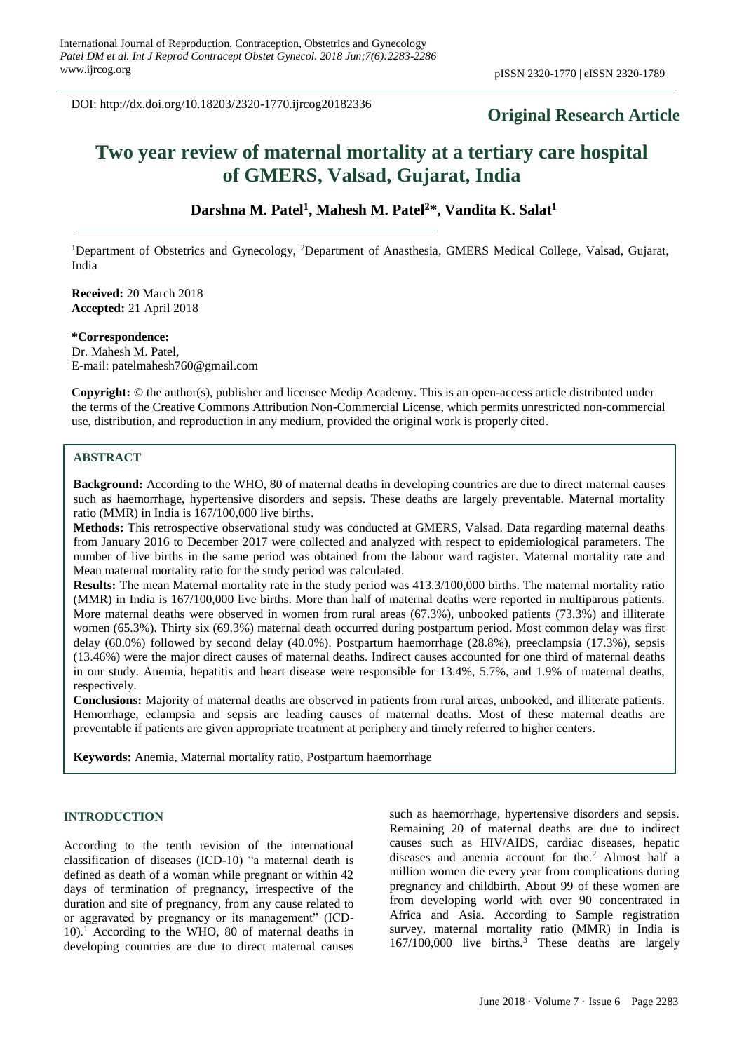DOI: http://dx.doi.org/10.18203/2320-1770.ijrcog20182336

# **Original Research Article**

# **Two year review of maternal mortality at a tertiary care hospital of GMERS, Valsad, Gujarat, India**

# **Darshna M. Patel<sup>1</sup> , Mahesh M. Patel<sup>2</sup>\*, Vandita K. Salat<sup>1</sup>**

<sup>1</sup>Department of Obstetrics and Gynecology, <sup>2</sup>Department of Anasthesia, GMERS Medical College, Valsad, Gujarat, India

**Received:** 20 March 2018 **Accepted:** 21 April 2018

**\*Correspondence:** Dr. Mahesh M. Patel, E-mail: patelmahesh760@gmail.com

**Copyright:** © the author(s), publisher and licensee Medip Academy. This is an open-access article distributed under the terms of the Creative Commons Attribution Non-Commercial License, which permits unrestricted non-commercial use, distribution, and reproduction in any medium, provided the original work is properly cited.

# **ABSTRACT**

**Background:** According to the WHO, 80 of maternal deaths in developing countries are due to direct maternal causes such as haemorrhage, hypertensive disorders and sepsis. These deaths are largely preventable. Maternal mortality ratio (MMR) in India is 167/100,000 live births.

**Methods:** This retrospective observational study was conducted at GMERS, Valsad. Data regarding maternal deaths from January 2016 to December 2017 were collected and analyzed with respect to epidemiological parameters. The number of live births in the same period was obtained from the labour ward ragister. Maternal mortality rate and Mean maternal mortality ratio for the study period was calculated.

**Results:** The mean Maternal mortality rate in the study period was 413.3/100,000 births. The maternal mortality ratio (MMR) in India is 167/100,000 live births. More than half of maternal deaths were reported in multiparous patients. More maternal deaths were observed in women from rural areas (67.3%), unbooked patients (73.3%) and illiterate women (65.3%). Thirty six (69.3%) maternal death occurred during postpartum period. Most common delay was first delay (60.0%) followed by second delay (40.0%). Postpartum haemorrhage (28.8%), preeclampsia (17.3%), sepsis (13.46%) were the major direct causes of maternal deaths. Indirect causes accounted for one third of maternal deaths in our study. Anemia, hepatitis and heart disease were responsible for 13.4%, 5.7%, and 1.9% of maternal deaths, respectively.

**Conclusions:** Majority of maternal deaths are observed in patients from rural areas, unbooked, and illiterate patients. Hemorrhage, eclampsia and sepsis are leading causes of maternal deaths. Most of these maternal deaths are preventable if patients are given appropriate treatment at periphery and timely referred to higher centers.

**Keywords:** Anemia, Maternal mortality ratio, Postpartum haemorrhage

## **INTRODUCTION**

According to the tenth revision of the international classification of diseases (ICD-10) "a maternal death is defined as death of a woman while pregnant or within 42 days of termination of pregnancy, irrespective of the duration and site of pregnancy, from any cause related to or aggravated by pregnancy or its management" (ICD- $10$ ).<sup>1</sup> According to the WHO, 80 of maternal deaths in developing countries are due to direct maternal causes

such as haemorrhage, hypertensive disorders and sepsis. Remaining 20 of maternal deaths are due to indirect causes such as HIV/AIDS, cardiac diseases, hepatic diseases and anemia account for the.<sup>2</sup> Almost half a million women die every year from complications during pregnancy and childbirth. About 99 of these women are from developing world with over 90 concentrated in Africa and Asia. According to Sample registration survey, maternal mortality ratio (MMR) in India is  $167/100,000$  live births.<sup>3</sup> These deaths are largely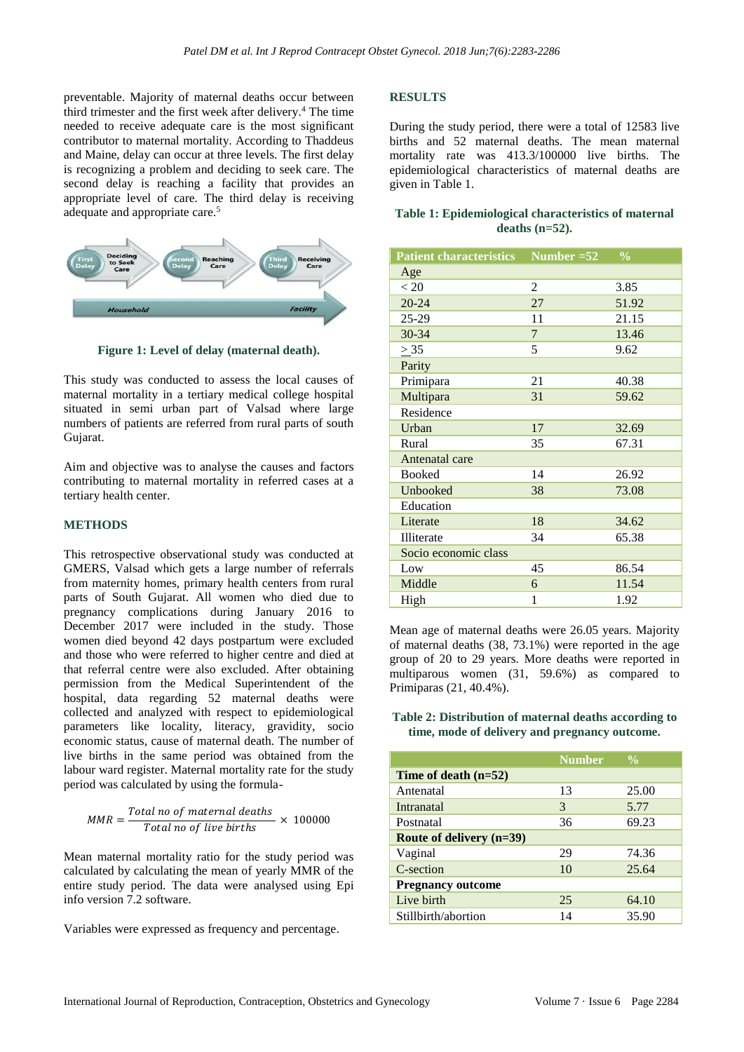preventable. Majority of maternal deaths occur between third trimester and the first week after delivery.<sup>4</sup> The time needed to receive adequate care is the most significant contributor to maternal mortality. According to Thaddeus and Maine, delay can occur at three levels. The first delay is recognizing a problem and deciding to seek care. The second delay is reaching a facility that provides an appropriate level of care. The third delay is receiving adequate and appropriate care.<sup>5</sup>



**Figure 1: Level of delay (maternal death).**

This study was conducted to assess the local causes of maternal mortality in a tertiary medical college hospital situated in semi urban part of Valsad where large numbers of patients are referred from rural parts of south Gujarat.

Aim and objective was to analyse the causes and factors contributing to maternal mortality in referred cases at a tertiary health center.

## **METHODS**

This retrospective observational study was conducted at GMERS, Valsad which gets a large number of referrals from maternity homes, primary health centers from rural parts of South Gujarat. All women who died due to pregnancy complications during January 2016 to December 2017 were included in the study. Those women died beyond 42 days postpartum were excluded and those who were referred to higher centre and died at that referral centre were also excluded. After obtaining permission from the Medical Superintendent of the hospital, data regarding 52 maternal deaths were collected and analyzed with respect to epidemiological parameters like locality, literacy, gravidity, socio economic status, cause of maternal death. The number of live births in the same period was obtained from the labour ward register. Maternal mortality rate for the study period was calculated by using the formula-

$$
MMR = \frac{Total\ no\ of\ maternal\ deaths}{Total\ no\ of\ live\ births} \times 100000
$$

Mean maternal mortality ratio for the study period was calculated by calculating the mean of yearly MMR of the entire study period. The data were analysed using Epi info version 7.2 software.

Variables were expressed as frequency and percentage.

#### **RESULTS**

During the study period, there were a total of 12583 live births and 52 maternal deaths. The mean maternal mortality rate was 413.3/100000 live births. The epidemiological characteristics of maternal deaths are given in Table 1.

#### **Table 1: Epidemiological characteristics of maternal deaths (n=52).**

| <b>Patient characteristics</b> | Number $=52$   | $\frac{0}{0}$ |
|--------------------------------|----------------|---------------|
| Age                            |                |               |
| < 20                           | 2              | 3.85          |
| $20 - 24$                      | 27             | 51.92         |
| 25-29                          | 11             | 21.15         |
| 30-34                          | $\overline{7}$ | 13.46         |
| $\geq 35$                      | 5              | 9.62          |
| Parity                         |                |               |
| Primipara                      | 21             | 40.38         |
| Multipara                      | 31             | 59.62         |
| Residence                      |                |               |
| Urban                          | 17             | 32.69         |
| Rural                          | 35             | 67.31         |
| Antenatal care                 |                |               |
| <b>Booked</b>                  | 14             | 26.92         |
| Unbooked                       | 38             | 73.08         |
| Education                      |                |               |
| Literate                       | 18             | 34.62         |
| Illiterate                     | 34             | 65.38         |
| Socio economic class           |                |               |
| Low                            | 45             | 86.54         |
| Middle                         | 6              | 11.54         |
| High                           | 1              | 1.92          |

Mean age of maternal deaths were 26.05 years. Majority of maternal deaths (38, 73.1%) were reported in the age group of 20 to 29 years. More deaths were reported in multiparous women (31, 59.6%) as compared to Primiparas (21, 40.4%).

**Table 2: Distribution of maternal deaths according to time, mode of delivery and pregnancy outcome.**

|                            | <b>Number</b> | $\frac{0}{0}$ |
|----------------------------|---------------|---------------|
| Time of death $(n=52)$     |               |               |
| Antenatal                  | 13            | 25.00         |
| Intranatal                 | 3             | 5.77          |
| Postnatal                  | 36            | 69.23         |
| Route of delivery $(n=39)$ |               |               |
| Vaginal                    | 29            | 74.36         |
| C-section                  | 10            | 25.64         |
| <b>Pregnancy outcome</b>   |               |               |
| Live birth                 | 25            | 64.10         |
| Stillbirth/abortion        | 14            | 35.90         |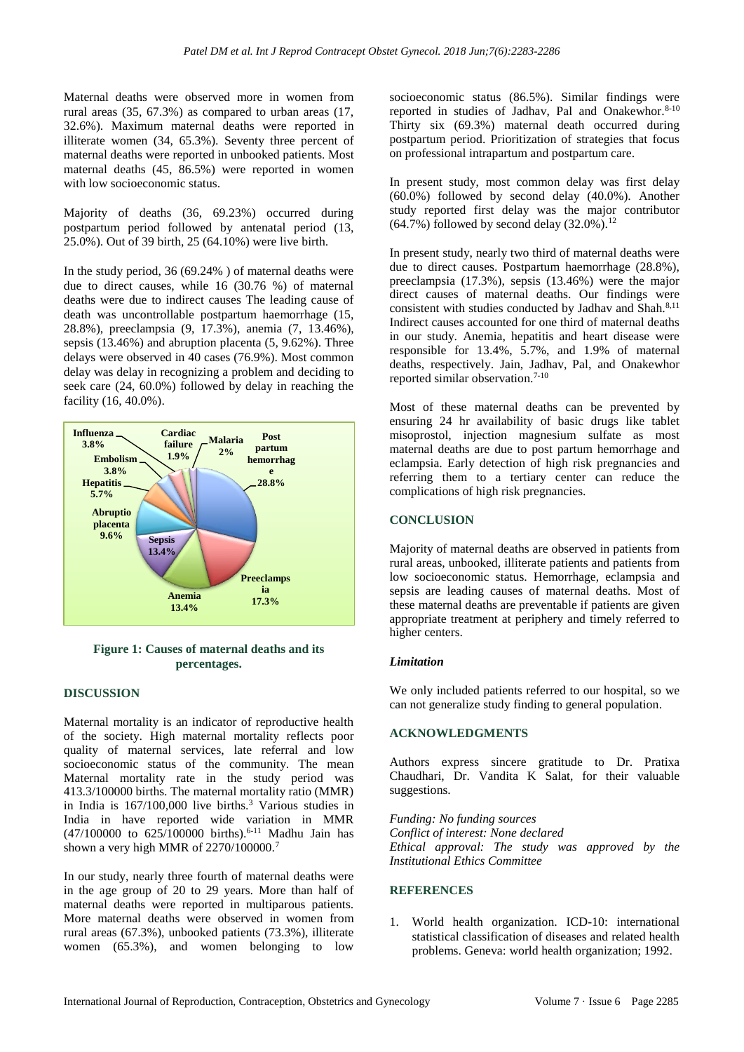Maternal deaths were observed more in women from rural areas (35, 67.3%) as compared to urban areas (17, 32.6%). Maximum maternal deaths were reported in illiterate women (34, 65.3%). Seventy three percent of maternal deaths were reported in unbooked patients. Most maternal deaths (45, 86.5%) were reported in women with low socioeconomic status.

Majority of deaths (36, 69.23%) occurred during postpartum period followed by antenatal period (13, 25.0%). Out of 39 birth, 25 (64.10%) were live birth.

In the study period, 36 (69.24% ) of maternal deaths were due to direct causes, while 16 (30.76 %) of maternal deaths were due to indirect causes The leading cause of death was uncontrollable postpartum haemorrhage (15, 28.8%), preeclampsia (9, 17.3%), anemia (7, 13.46%), sepsis (13.46%) and abruption placenta (5, 9.62%). Three delays were observed in 40 cases (76.9%). Most common delay was delay in recognizing a problem and deciding to seek care (24, 60.0%) followed by delay in reaching the facility (16, 40.0%).



# **Figure 1: Causes of maternal deaths and its percentages.**

# **DISCUSSION**

Maternal mortality is an indicator of reproductive health of the society. High maternal mortality reflects poor quality of maternal services, late referral and low socioeconomic status of the community. The mean Maternal mortality rate in the study period was 413.3/100000 births. The maternal mortality ratio (MMR) in India is 167/100,000 live births.<sup>3</sup> Various studies in India in have reported wide variation in MMR  $(47/100000$  to  $625/100000$  births).<sup>6-11</sup> Madhu Jain has shown a very high MMR of 2270/100000.<sup>7</sup>

In our study, nearly three fourth of maternal deaths were in the age group of 20 to 29 years. More than half of maternal deaths were reported in multiparous patients. More maternal deaths were observed in women from rural areas (67.3%), unbooked patients (73.3%), illiterate women (65.3%), and women belonging to low

socioeconomic status (86.5%). Similar findings were reported in studies of Jadhav, Pal and Onakewhor.<sup>8-10</sup> Thirty six (69.3%) maternal death occurred during postpartum period. Prioritization of strategies that focus on professional intrapartum and postpartum care.

In present study, most common delay was first delay (60.0%) followed by second delay (40.0%). Another study reported first delay was the major contributor  $(64.7\%)$  followed by second delay  $(32.0\%)$ <sup>12</sup>

In present study, nearly two third of maternal deaths were due to direct causes. Postpartum haemorrhage (28.8%), preeclampsia (17.3%), sepsis (13.46%) were the major direct causes of maternal deaths. Our findings were consistent with studies conducted by Jadhav and Shah.<sup>8,11</sup> Indirect causes accounted for one third of maternal deaths in our study. Anemia, hepatitis and heart disease were responsible for 13.4%, 5.7%, and 1.9% of maternal deaths, respectively. Jain, Jadhav, Pal, and Onakewhor reported similar observation.<sup>7-10</sup>

Most of these maternal deaths can be prevented by ensuring 24 hr availability of basic drugs like tablet misoprostol, injection magnesium sulfate as most maternal deaths are due to post partum hemorrhage and eclampsia. Early detection of high risk pregnancies and referring them to a tertiary center can reduce the complications of high risk pregnancies.

# **CONCLUSION**

Majority of maternal deaths are observed in patients from rural areas, unbooked, illiterate patients and patients from low socioeconomic status. Hemorrhage, eclampsia and sepsis are leading causes of maternal deaths. Most of these maternal deaths are preventable if patients are given appropriate treatment at periphery and timely referred to higher centers.

#### *Limitation*

We only included patients referred to our hospital, so we can not generalize study finding to general population.

# **ACKNOWLEDGMENTS**

Authors express sincere gratitude to Dr. Pratixa Chaudhari, Dr. Vandita K Salat, for their valuable suggestions.

*Funding: No funding sources Conflict of interest: None declared Ethical approval: The study was approved by the Institutional Ethics Committee*

# **REFERENCES**

1. World health organization. ICD-10: international statistical classification of diseases and related health problems. Geneva: world health organization; 1992.